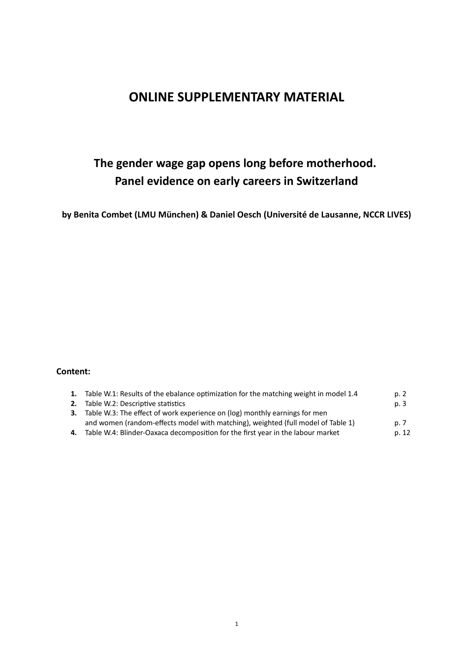## **ONLINE SUPPLEMENTARY MATERIAL**

# **The gender wage gap opens long before motherhood. Panel evidence on early careers in Switzerland**

**by Benita Combet (LMU München) & Daniel Oesch (Université de Lausanne, NCCR LIVES)**

### **Content:**

| 1. Table W.1: Results of the ebalance optimization for the matching weight in model 1.4 | p. 2  |
|-----------------------------------------------------------------------------------------|-------|
| <b>2.</b> Table W.2: Descriptive statistics                                             | p. 3  |
| <b>3.</b> Table W.3: The effect of work experience on (log) monthly earnings for men    |       |
| and women (random-effects model with matching), weighted (full model of Table 1)        | p. 7  |
| 4. Table W.4: Blinder-Oaxaca decomposition for the first year in the labour market      | p. 12 |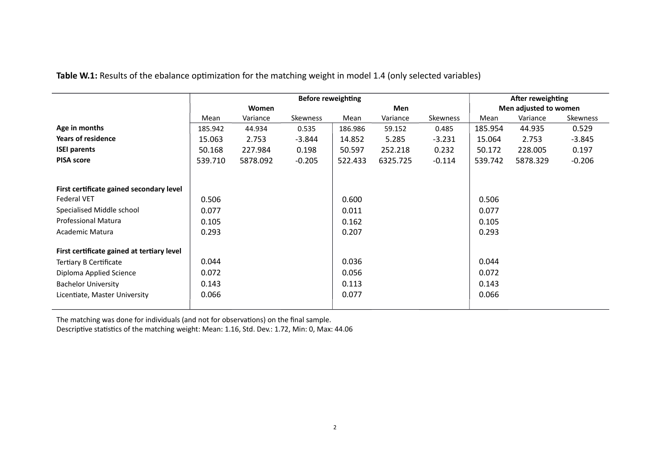|                                            |         |          |          | <b>Before reweighting</b> |            |          |         | After reweighting     |          |
|--------------------------------------------|---------|----------|----------|---------------------------|------------|----------|---------|-----------------------|----------|
|                                            |         | Women    |          |                           | <b>Men</b> |          |         | Men adjusted to women |          |
|                                            | Mean    | Variance | Skewness | Mean                      | Variance   | Skewness | Mean    | Variance              | Skewness |
| Age in months                              | 185.942 | 44.934   | 0.535    | 186.986                   | 59.152     | 0.485    | 185.954 | 44.935                | 0.529    |
| <b>Years of residence</b>                  | 15.063  | 2.753    | $-3.844$ | 14.852                    | 5.285      | $-3.231$ | 15.064  | 2.753                 | $-3.845$ |
| <b>ISEI parents</b>                        | 50.168  | 227.984  | 0.198    | 50.597                    | 252.218    | 0.232    | 50.172  | 228.005               | 0.197    |
| <b>PISA score</b>                          | 539.710 | 5878.092 | $-0.205$ | 522.433                   | 6325.725   | $-0.114$ | 539.742 | 5878.329              | $-0.206$ |
|                                            |         |          |          |                           |            |          |         |                       |          |
| First certificate gained secondary level   |         |          |          |                           |            |          |         |                       |          |
| <b>Federal VET</b>                         | 0.506   |          |          | 0.600                     |            |          | 0.506   |                       |          |
| Specialised Middle school                  | 0.077   |          |          | 0.011                     |            |          | 0.077   |                       |          |
| <b>Professional Matura</b>                 | 0.105   |          |          | 0.162                     |            |          | 0.105   |                       |          |
| Academic Matura                            | 0.293   |          |          | 0.207                     |            |          | 0.293   |                       |          |
| First certificate gained at tertiary level |         |          |          |                           |            |          |         |                       |          |
| Tertiary B Certificate                     | 0.044   |          |          | 0.036                     |            |          | 0.044   |                       |          |
| Diploma Applied Science                    | 0.072   |          |          | 0.056                     |            |          | 0.072   |                       |          |
| <b>Bachelor University</b>                 | 0.143   |          |          | 0.113                     |            |          | 0.143   |                       |          |
| Licentiate, Master University              | 0.066   |          |          | 0.077                     |            |          | 0.066   |                       |          |

**Table W.1:** Results of the ebalance optimization for the matching weight in model 1.4 (only selected variables)

The matching was done for individuals (and not for observations) on the final sample.

Descriptive statistics of the matching weight: Mean: 1.16, Std. Dev.: 1.72, Min: 0, Max: 44.06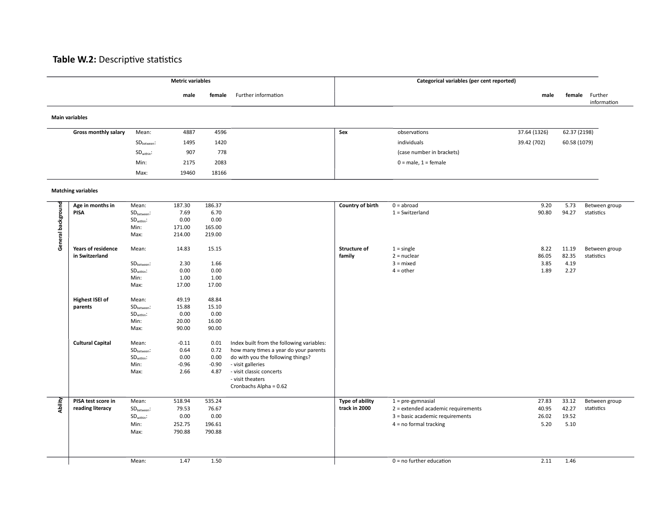### **Table W.2:** Descriptive statistics

|                    |                                             |                                         | <b>Metric variables</b> |                 |                                                                        |                                  | Categorical variables (per cent reported)                 |                |                |                               |
|--------------------|---------------------------------------------|-----------------------------------------|-------------------------|-----------------|------------------------------------------------------------------------|----------------------------------|-----------------------------------------------------------|----------------|----------------|-------------------------------|
|                    |                                             |                                         | male                    | female          | Further information                                                    |                                  |                                                           | male           |                | female Further<br>information |
|                    | <b>Main variables</b>                       |                                         |                         |                 |                                                                        |                                  |                                                           |                |                |                               |
|                    | Gross monthly salary                        | Mean:                                   | 4887                    | 4596            |                                                                        | Sex                              | observations                                              | 37.64 (1326)   | 62.37 (2198)   |                               |
|                    |                                             | $SDbetween$ :                           | 1495                    | 1420            |                                                                        |                                  | individuals                                               | 39.42 (702)    | 60.58 (1079)   |                               |
|                    |                                             | SD <sub>within</sub> :                  | 907                     | 778             |                                                                        |                                  | (case number in brackets)                                 |                |                |                               |
|                    |                                             | Min:                                    | 2175                    | 2083            |                                                                        |                                  | $0 = male$ , $1 = female$                                 |                |                |                               |
|                    |                                             | Max:                                    | 19460                   | 18166           |                                                                        |                                  |                                                           |                |                |                               |
|                    | <b>Matching variables</b>                   |                                         |                         |                 |                                                                        |                                  |                                                           |                |                |                               |
|                    | Age in months in                            | Mean:                                   | 187.30                  | 186.37          |                                                                        | Country of birth                 | $0 =$ abroad                                              | 9.20           | 5.73           | Between group                 |
| General background | PISA                                        | SD <sub>between</sub> :                 | 7.69                    | 6.70            |                                                                        |                                  | $1 =$ Switzerland                                         | 90.80          | 94.27          | statistics                    |
|                    |                                             | $SDwithin$ :                            | 0.00                    | 0.00            |                                                                        |                                  |                                                           |                |                |                               |
|                    |                                             | Min:                                    | 171.00                  | 165.00          |                                                                        |                                  |                                                           |                |                |                               |
|                    |                                             | Max:                                    | 214.00                  | 219.00          |                                                                        |                                  |                                                           |                |                |                               |
|                    | <b>Years of residence</b><br>in Switzerland | Mean:                                   | 14.83                   | 15.15           |                                                                        | Structure of<br>family           | $1 =$ single<br>$2$ = nuclear                             | 8.22<br>86.05  | 11.19<br>82.35 | Between group<br>statistics   |
|                    |                                             | SD <sub>between</sub> :                 | 2.30                    | 1.66            |                                                                        |                                  | $3 =$ mixed                                               | 3.85           | 4.19           |                               |
|                    |                                             | SD <sub>within</sub> :                  | 0.00                    | 0.00            |                                                                        |                                  | $4 = other$                                               | 1.89           | 2.27           |                               |
|                    |                                             | Min:                                    | 1.00                    | 1.00            |                                                                        |                                  |                                                           |                |                |                               |
|                    |                                             | Max:                                    | 17.00                   | 17.00           |                                                                        |                                  |                                                           |                |                |                               |
|                    | <b>Highest ISEI of</b>                      | Mean:                                   | 49.19                   | 48.84           |                                                                        |                                  |                                                           |                |                |                               |
|                    | parents                                     | SD <sub>between</sub> :                 | 15.88                   | 15.10           |                                                                        |                                  |                                                           |                |                |                               |
|                    |                                             | $SDwithin$ :                            | 0.00                    | 0.00            |                                                                        |                                  |                                                           |                |                |                               |
|                    |                                             | Min:                                    | 20.00                   | 16.00           |                                                                        |                                  |                                                           |                |                |                               |
|                    |                                             | Max:                                    | 90.00                   | 90.00           |                                                                        |                                  |                                                           |                |                |                               |
|                    | <b>Cultural Capital</b>                     | Mean:                                   | $-0.11$                 | 0.01            | Index built from the following variables:                              |                                  |                                                           |                |                |                               |
|                    |                                             | $SDbetween$ :                           | 0.64                    | 0.72            | how many times a year do your parents                                  |                                  |                                                           |                |                |                               |
|                    |                                             | $SDwithin$ :                            | 0.00                    | 0.00            | do with you the following things?                                      |                                  |                                                           |                |                |                               |
|                    |                                             | Min:                                    | $-0.96$                 | $-0.90$         | - visit galleries                                                      |                                  |                                                           |                |                |                               |
|                    |                                             | Max:                                    | 2.66                    | 4.87            | - visit classic concerts<br>- visit theaters<br>Cronbachs Alpha = 0.62 |                                  |                                                           |                |                |                               |
|                    |                                             |                                         |                         |                 |                                                                        |                                  |                                                           |                |                |                               |
| Ability            | PISA test score in<br>reading literacy      | Mean:                                   | 518.94<br>79.53         | 535.24<br>76.67 |                                                                        | Type of ability<br>track in 2000 | $1 = pre-gymnasial$<br>2 = extended academic requirements | 27.83<br>40.95 | 33.12<br>42.27 | Between group<br>statistics   |
|                    |                                             | $\mathsf{SD}_\mathsf{between}$ :        | 0.00                    | 0.00            |                                                                        |                                  | 3 = basic academic requirements                           | 26.02          | 19.52          |                               |
|                    |                                             | $\mathsf{SD}_\mathsf{within}$ :<br>Min: | 252.75                  | 196.61          |                                                                        |                                  | $4 = no$ formal tracking                                  | 5.20           | 5.10           |                               |
|                    |                                             | Max:                                    | 790.88                  | 790.88          |                                                                        |                                  |                                                           |                |                |                               |
|                    |                                             |                                         |                         |                 |                                                                        |                                  |                                                           |                |                |                               |
|                    |                                             | Mean:                                   | 1.47                    | 1.50            |                                                                        |                                  | $0 = no$ further education                                | 2.11           | 1.46           |                               |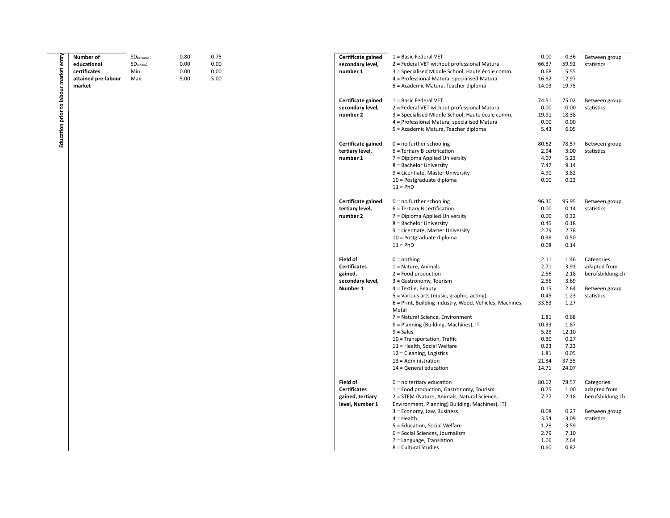| entry                            | Number of           | SD <sub>between</sub> : | 0.80 | 0.75 | Certificate gained  | 1 = Basic Federal VET                                   | 0.00  | 0.36  | Between group    |
|----------------------------------|---------------------|-------------------------|------|------|---------------------|---------------------------------------------------------|-------|-------|------------------|
|                                  | educational         | SD <sub>within</sub> :  | 0.00 | 0.00 | secondary level,    | 2 = Federal VET without professional Matura             | 66.37 | 59.92 | statistics       |
|                                  | certificates        | Min:                    | 0.00 | 0.00 | number 1            | 3 = Specialised Middle School, Haute école comm.        | 0.68  | 5.55  |                  |
|                                  | attained pre-labour | Max:                    | 5.00 | 5.00 |                     | 4 = Professional Matura, specialised Matura             | 16.82 | 12.97 |                  |
|                                  |                     |                         |      |      |                     |                                                         |       |       |                  |
|                                  | market              |                         |      |      |                     | 5 = Academic Matura, Teacher diploma                    | 14.03 | 19.75 |                  |
|                                  |                     |                         |      |      |                     | 1 = Basic Federal VET                                   | 74.51 | 75.02 | Between group    |
|                                  |                     |                         |      |      | Certificate gained  |                                                         |       |       |                  |
|                                  |                     |                         |      |      | secondary level,    | 2 = Federal VET without professional Matura             | 0.00  | 0.00  | statistics       |
|                                  |                     |                         |      |      | number 2            | 3 = Specialised Middle School, Haute école comm.        | 19.91 | 18.38 |                  |
|                                  |                     |                         |      |      |                     | 4 = Professional Matura, specialised Matura             | 0.00  | 0.00  |                  |
|                                  |                     |                         |      |      |                     | 5 = Academic Matura, Teacher diploma                    | 5.43  | 6.05  |                  |
| Education prior to labour market |                     |                         |      |      |                     |                                                         |       |       |                  |
|                                  |                     |                         |      |      | Certificate gained  | $0 = no$ further schooling                              | 80.62 | 78.57 | Between group    |
|                                  |                     |                         |      |      | tertiary level,     | 6 = Tertiary B certification                            | 2.94  | 3.00  | statistics       |
|                                  |                     |                         |      |      | number 1            | 7 = Diploma Applied University                          | 4.07  | 5.23  |                  |
|                                  |                     |                         |      |      |                     | 8 = Bachelor University                                 | 7.47  | 9.14  |                  |
|                                  |                     |                         |      |      |                     | 9 = Licentiate, Master University                       | 4.90  | 3.82  |                  |
|                                  |                     |                         |      |      |                     | 10 = Postgraduate diploma                               | 0.00  | 0.23  |                  |
|                                  |                     |                         |      |      |                     | $11 = PhD$                                              |       |       |                  |
|                                  |                     |                         |      |      |                     |                                                         |       |       |                  |
|                                  |                     |                         |      |      | Certificate gained  | $0 = no$ further schooling                              | 96.30 | 95.95 | Between group    |
|                                  |                     |                         |      |      | tertiary level,     | 6 = Tertiary B certification                            | 0.00  | 0.14  | statistics       |
|                                  |                     |                         |      |      | number 2            | 7 = Diploma Applied University                          | 0.00  | 0.32  |                  |
|                                  |                     |                         |      |      |                     | 8 = Bachelor University                                 | 0.45  | 0.18  |                  |
|                                  |                     |                         |      |      |                     |                                                         | 2.79  | 2.78  |                  |
|                                  |                     |                         |      |      |                     | 9 = Licentiate, Master University                       |       |       |                  |
|                                  |                     |                         |      |      |                     | 10 = Postgraduate diploma                               | 0.38  | 0.50  |                  |
|                                  |                     |                         |      |      |                     | $11 = PhD$                                              | 0.08  | 0.14  |                  |
|                                  |                     |                         |      |      | <b>Field of</b>     | $0 = nothing$                                           | 2.11  | 1.46  | Categories       |
|                                  |                     |                         |      |      | <b>Certificates</b> | $1 = Nature, Animals$                                   | 2.71  | 3.91  | adapted from     |
|                                  |                     |                         |      |      |                     |                                                         |       |       |                  |
|                                  |                     |                         |      |      | gained,             | $2 =$ Food production                                   | 2.56  | 2.18  | berufsbildung.ch |
|                                  |                     |                         |      |      | secondary level,    | 3 = Gastronomy, Tourism                                 | 2.56  | 3.69  |                  |
|                                  |                     |                         |      |      | Number 1            | 4 = Textile, Beauty                                     | 0.15  | 2.64  | Between group    |
|                                  |                     |                         |      |      |                     | 5 = Various arts (music, graphic, acting)               | 0.45  | 1.23  | statistics       |
|                                  |                     |                         |      |      |                     | 6 = Print, Building Industry, Wood, Vehicles, Machines, | 33.63 | 1.27  |                  |
|                                  |                     |                         |      |      |                     | Metal                                                   |       |       |                  |
|                                  |                     |                         |      |      |                     | 7 = Natural Science, Environment                        | 1.81  | 0.68  |                  |
|                                  |                     |                         |      |      |                     | 8 = Planning (Building, Machines), IT                   | 10.33 | 1.87  |                  |
|                                  |                     |                         |      |      |                     | $9 = Sales$                                             | 5.28  | 12.10 |                  |
|                                  |                     |                         |      |      |                     | 10 = Transportation, Traffic                            | 0.30  | 0.27  |                  |
|                                  |                     |                         |      |      |                     | 11 = Health, Social Welfare                             | 0.23  | 7.23  |                  |
|                                  |                     |                         |      |      |                     |                                                         | 1.81  | 0.05  |                  |
|                                  |                     |                         |      |      |                     | $12$ = Cleaning, Logistics                              |       |       |                  |
|                                  |                     |                         |      |      |                     | 13 = Administration                                     | 21.34 | 37.35 |                  |
|                                  |                     |                         |      |      |                     | $14 =$ General education                                | 14.71 | 24.07 |                  |
|                                  |                     |                         |      |      | <b>Field of</b>     | $0 = no$ tertiary education                             | 80.62 | 78.57 | Categories       |
|                                  |                     |                         |      |      | <b>Certificates</b> |                                                         | 0.75  | 1.00  |                  |
|                                  |                     |                         |      |      |                     | 1 = Food production, Gastronomy, Tourism                |       |       | adapted from     |
|                                  |                     |                         |      |      | gained, tertiary    | 2 = STEM (Nature, Animals, Natural Science,             | 7.77  | 2.18  | berufsbildung.ch |
|                                  |                     |                         |      |      | level, Number 1     | Environment, Planning) Building, Machines), IT)         |       |       |                  |
|                                  |                     |                         |      |      |                     | 3 = Economy, Law, Business                              | 0.08  | 0.27  | Between group    |
|                                  |                     |                         |      |      |                     | $4 =$ Health                                            | 3.54  | 3.09  | statistics       |
|                                  |                     |                         |      |      |                     | 5 = Education, Social Welfare                           | 1.28  | 3.59  |                  |
|                                  |                     |                         |      |      |                     | 6 = Social Sciences, Journalism                         | 2.79  | 7.10  |                  |
|                                  |                     |                         |      |      |                     | 7 = Language, Translation                               | 1.06  | 2.64  |                  |
|                                  |                     |                         |      |      |                     | 8 = Cultural Studies                                    | 0.60  | 0.82  |                  |
|                                  |                     |                         |      |      |                     |                                                         |       |       |                  |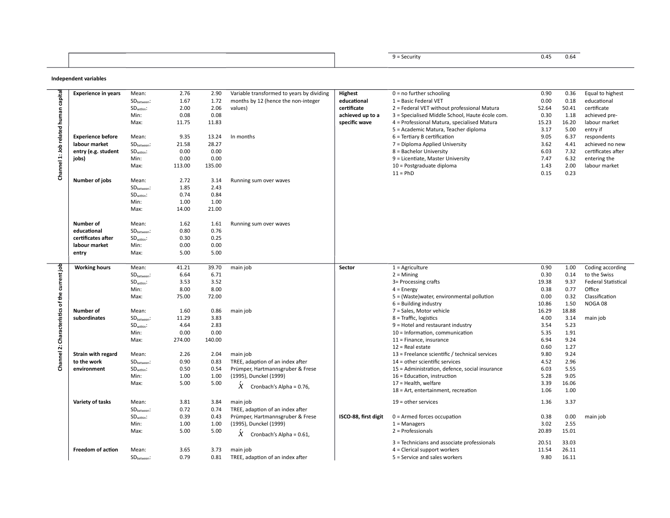| <u> チ = Security</u> | 0.45<br>V.64 |
|----------------------|--------------|
|                      |              |

#### **Independent variables**

|                    | <b>Experience in years</b> | Mean:                   | 2.76         | 2.90         | Variable transformed to years by dividing    | <b>Highest</b>       | $0 = no$ further schooling                                      | 0.90          | 0.36           | Equal to highest           |
|--------------------|----------------------------|-------------------------|--------------|--------------|----------------------------------------------|----------------------|-----------------------------------------------------------------|---------------|----------------|----------------------------|
|                    |                            | SD <sub>between</sub> : | 1.67         | 1.72         | months by 12 (hence the non-integer          | educational          | 1 = Basic Federal VET                                           | 0.00          | 0.18           | educational                |
|                    |                            | SD <sub>within</sub> :  | 2.00         | 2.06         | values)                                      | certificate          | 2 = Federal VET without professional Matura                     | 52.64         | 50.41          | certificate                |
|                    |                            | Min:                    | 0.08         | 0.08         |                                              | achieved up to a     | 3 = Specialised Middle School, Haute école com.                 | 0.30          | 1.18           | achieved pre-              |
| human capita       |                            |                         |              |              |                                              |                      |                                                                 |               |                |                            |
|                    |                            | Max:                    | 11.75        | 11.83        |                                              | specific wave        | 4 = Professional Matura, specialised Matura                     | 15.23         | 16.20          | labour market              |
| related            |                            |                         |              |              |                                              |                      | 5 = Academic Matura, Teacher diploma                            | 3.17          | 5.00           | entry if                   |
|                    | <b>Experience before</b>   | Mean:                   | 9.35         | 13.24        | In months                                    |                      | $6$ = Tertiary B certification                                  | 9.05          | 6.37           | respondents                |
|                    | labour market              | $SD_{between}$ :        | 21.58        | 28.27        |                                              |                      | 7 = Diploma Applied University                                  | 3.62          | 4.41           | achieved no new            |
|                    | entry (e.g. student        | $SDwithin$ :            | 0.00         | 0.00         |                                              |                      | 8 = Bachelor University                                         | 6.03          | 7.32           | certificates after         |
| Channel 1: Job     | jobs)                      | Min:                    | 0.00         | 0.00         |                                              |                      | 9 = Licentiate, Master University                               | 7.47          | 6.32           | entering the               |
|                    |                            | Max:                    | 113.00       | 135.00       |                                              |                      |                                                                 | 1.43          | 2.00           | labour market              |
|                    |                            |                         |              |              |                                              |                      | 10 = Postgraduate diploma                                       |               |                |                            |
|                    |                            |                         |              |              |                                              |                      | $11 = PhD$                                                      | 0.15          | 0.23           |                            |
|                    | Number of jobs             | Mean:                   | 2.72         | 3.14         | Running sum over waves                       |                      |                                                                 |               |                |                            |
|                    |                            | SD <sub>between</sub> : | 1.85         | 2.43         |                                              |                      |                                                                 |               |                |                            |
|                    |                            | SD <sub>within</sub> :  | 0.74         | 0.84         |                                              |                      |                                                                 |               |                |                            |
|                    |                            | Min:                    | 1.00         | 1.00         |                                              |                      |                                                                 |               |                |                            |
|                    |                            | Max:                    | 14.00        | 21.00        |                                              |                      |                                                                 |               |                |                            |
|                    |                            |                         |              |              |                                              |                      |                                                                 |               |                |                            |
|                    | Number of<br>1.62<br>Mean: |                         |              |              |                                              |                      |                                                                 |               |                |                            |
|                    |                            |                         |              | 1.61         | Running sum over waves                       |                      |                                                                 |               |                |                            |
|                    | educational                | SD <sub>between</sub> : | 0.80         | 0.76         |                                              |                      |                                                                 |               |                |                            |
|                    | certificates after         | $SDwithin$ :            | 0.30         | 0.25         |                                              |                      |                                                                 |               |                |                            |
|                    | labour market              | Min:                    | 0.00         | 0.00         |                                              |                      |                                                                 |               |                |                            |
|                    | entry                      | Max:                    | 5.00         | 5.00         |                                              |                      |                                                                 |               |                |                            |
|                    |                            |                         |              |              |                                              |                      |                                                                 |               |                |                            |
|                    | <b>Working hours</b>       | Mean:                   | 41.21        | 39.70        | main job                                     | Sector               | $1 =$ Agriculture                                               | 0.90          | 1.00           | Coding according           |
|                    |                            | SD <sub>between</sub> : | 6.64         | 6.71         |                                              |                      | $2 =$ Mining                                                    | 0.30          | 0.14           | to the Swiss               |
|                    |                            | $SDwithin$ :            | 3.53         | 3.52         |                                              |                      | 3= Processing crafts                                            | 19.38         | 9.37           | <b>Federal Statistical</b> |
|                    |                            |                         |              |              |                                              |                      |                                                                 |               |                |                            |
|                    |                            |                         |              |              |                                              |                      |                                                                 |               |                |                            |
|                    |                            | Min:                    | 8.00         | 8.00         |                                              |                      | $4 =$ Energy                                                    | 0.38          | 0.77           | Office                     |
|                    |                            | Max:                    | 75.00        | 72.00        |                                              |                      | 5 = (Waste) water, environmental pollution                      | 0.00          | 0.32           | Classification             |
| of the current job |                            |                         |              |              |                                              |                      | $6$ = Building industry                                         | 10.86         | 1.50           | NOGA08                     |
|                    | Number of                  | Mean:                   | 1.60         | 0.86         | main job                                     |                      | 7 = Sales, Motor vehicle                                        | 16.29         | 18.88          |                            |
|                    | subordinates               | SD <sub>between</sub> : | 11.29        | 3.83         |                                              |                      | $8$ = Traffic, logistics                                        | 4.00          | 3.14           | main job                   |
|                    |                            |                         | 4.64         | 2.83         |                                              |                      | $9$ = Hotel and restaurant industry                             | 3.54          | 5.23           |                            |
|                    |                            | SD <sub>within</sub> :  |              |              |                                              |                      |                                                                 |               |                |                            |
|                    |                            | Min:                    | 0.00         | 0.00         |                                              |                      | 10 = Information, communication                                 | 5.35          | 1.91           |                            |
| Characteristics    |                            | Max:                    | 274.00       | 140.00       |                                              |                      | 11 = Finance, insurance                                         | 6.94          | 9.24           |                            |
| Ń                  |                            |                         |              |              |                                              |                      | $12$ = Real estate                                              | 0.60          | 1.27           |                            |
|                    | Strain with regard         | Mean:                   | 2.26         | 2.04         | main job                                     |                      | 13 = Freelance scientific / technical services                  | 9.80          | 9.24           |                            |
|                    | to the work                | SD <sub>between</sub> : | 0.90         | 0.83         | TREE, adaption of an index after             |                      | 14 = other scientific services                                  | 4.52          | 2.96           |                            |
| Channel            | environment                | $SDwithin$ :            | 0.50         | 0.54         | Prümper, Hartmannsgruber & Frese             |                      | 15 = Administration, defence, social insurance                  | 6.03          | 5.55           |                            |
|                    |                            | Min:                    | 1.00         | 1.00         | (1995), Dunckel (1999)                       |                      | 16 = Education, instruction                                     | 5.28          | 9.05           |                            |
|                    |                            | Max:                    | 5.00         | 5.00         |                                              |                      | 17 = Health, welfare                                            | 3.39          | 16.06          |                            |
|                    |                            |                         |              |              | $\chi$<br>Cronbach's Alpha = 0.76,           |                      |                                                                 | 1.06          | 1.00           |                            |
|                    |                            |                         |              |              |                                              |                      | 18 = Art, entertainment, recreation                             |               |                |                            |
|                    | Variety of tasks           | Mean:                   | 3.81         | 3.84         | main job                                     |                      | $19$ = other services                                           | 1.36          | 3.37           |                            |
|                    |                            | SD <sub>between</sub> : | 0.72         | 0.74         | TREE, adaption of an index after             |                      |                                                                 |               |                |                            |
|                    |                            |                         | 0.39         | 0.43         |                                              | ISCO-88, first digit |                                                                 | 0.38          |                |                            |
|                    |                            | $SDwithin$ :            |              |              | Prümper, Hartmannsgruber & Frese             |                      | $0 =$ Armed forces occupation                                   |               | 0.00           | main job                   |
|                    |                            | Min:                    | 1.00         | 1.00         | (1995), Dunckel (1999)                       |                      | $1 =$ Managers                                                  | 3.02          | 2.55           |                            |
|                    |                            | Max:                    | 5.00         | 5.00         | $X$ Cronbach's Alpha = 0.61,                 |                      | 2 = Professionals                                               | 20.89         | 15.01          |                            |
|                    |                            |                         |              |              |                                              |                      |                                                                 |               |                |                            |
|                    |                            |                         |              |              |                                              |                      | 3 = Technicians and associate professionals                     | 20.51         | 33.03          |                            |
|                    | <b>Freedom of action</b>   | Mean:<br>$SDbetween$ :  | 3.65<br>0.79 | 3.73<br>0.81 | main job<br>TREE, adaption of an index after |                      | $4$ = Clerical support workers<br>5 = Service and sales workers | 11.54<br>9.80 | 26.11<br>16.11 |                            |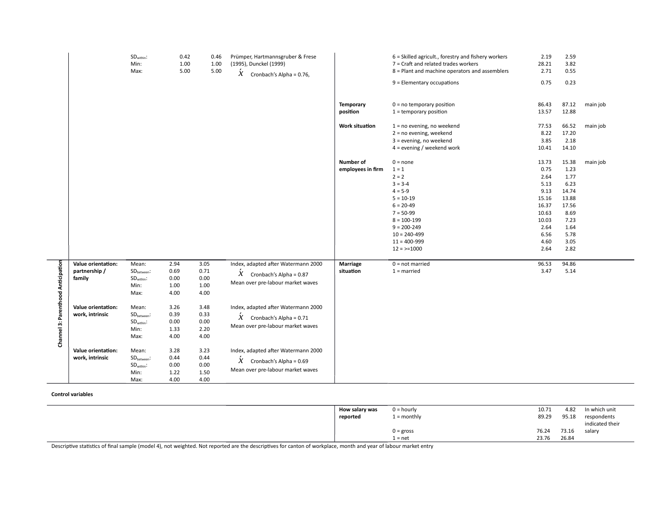|                                    |                                               | SD <sub>within</sub> :<br>Min:<br>Max:                                     | 0.42<br>1.00<br>5.00                 | 0.46<br>1.00<br>5.00                 | Prümper, Hartmannsgruber & Frese<br>(1995), Dunckel (1999)<br>$\chi$<br>Cronbach's Alpha = 0.76,                       | <b>Temporary</b><br>position<br><b>Work situation</b> | 6 = Skilled agricult., forestry and fishery workers<br>7 = Craft and related trades workers<br>8 = Plant and machine operators and assemblers<br>9 = Elementary occupations<br>$0 = no$ temporary position<br>$1 =$ temporary position<br>$1 = no$ evening, no weekend<br>2 = no evening, weekend | 2.19<br>28.21<br>2.71<br>0.75<br>86.43<br>13.57<br>77.53<br>8.22                                          | 2.59<br>3.82<br>0.55<br>0.23<br>87.12<br>12.88<br>66.52<br>17.20                                         | main job<br>main job |
|------------------------------------|-----------------------------------------------|----------------------------------------------------------------------------|--------------------------------------|--------------------------------------|------------------------------------------------------------------------------------------------------------------------|-------------------------------------------------------|---------------------------------------------------------------------------------------------------------------------------------------------------------------------------------------------------------------------------------------------------------------------------------------------------|-----------------------------------------------------------------------------------------------------------|----------------------------------------------------------------------------------------------------------|----------------------|
|                                    |                                               |                                                                            |                                      |                                      |                                                                                                                        |                                                       | 3 = evening, no weekend<br>$4 =$ evening / weekend work                                                                                                                                                                                                                                           | 3.85<br>10.41                                                                                             | 2.18<br>14.10                                                                                            |                      |
|                                    |                                               |                                                                            |                                      |                                      |                                                                                                                        | Number of<br>employees in firm                        | $0 = none$<br>$1 = 1$<br>$2 = 2$<br>$3 = 3-4$<br>$4 = 5-9$<br>$5 = 10-19$<br>$6 = 20 - 49$<br>$7 = 50-99$<br>$8 = 100 - 199$<br>$9 = 200 - 249$<br>$10 = 240 - 499$<br>$11 = 400 - 999$<br>$12 = -1000$                                                                                           | 13.73<br>0.75<br>2.64<br>5.13<br>9.13<br>15.16<br>16.37<br>10.63<br>10.03<br>2.64<br>6.56<br>4.60<br>2.64 | 15.38<br>1.23<br>1.77<br>6.23<br>14.74<br>13.88<br>17.56<br>8.69<br>7.23<br>1.64<br>5.78<br>3.05<br>2.82 | main job             |
|                                    | Value orientation:<br>partnership /<br>family | Mean:<br>SD <sub>between</sub> :<br>SD <sub>within</sub> :<br>Min:<br>Max: | 2.94<br>0.69<br>0.00<br>1.00<br>4.00 | 3.05<br>0.71<br>0.00<br>1.00<br>4.00 | Index, adapted after Watermann 2000<br>$\hat{X}$ Cronbach's Alpha = 0.87<br>Mean over pre-labour market waves          | <b>Marriage</b><br>situation                          | $0 = not married$<br>$1 =$ married                                                                                                                                                                                                                                                                | 96.53<br>3.47                                                                                             | 94.86<br>5.14                                                                                            |                      |
| Channel 3: Parenthood Anticipation | Value orientation:<br>work, intrinsic         | Mean:<br>SD <sub>between</sub> :<br>SD <sub>within</sub> :<br>Min:<br>Max: | 3.26<br>0.39<br>0.00<br>1.33<br>4.00 | 3.48<br>0.33<br>0.00<br>2.20<br>4.00 | Index, adapted after Watermann 2000<br>$X$ Cronbach's Alpha = 0.71<br>Mean over pre-labour market waves                |                                                       |                                                                                                                                                                                                                                                                                                   |                                                                                                           |                                                                                                          |                      |
|                                    | Value orientation:<br>work, intrinsic         | Mean:<br>SD <sub>between</sub> :<br>$SDwithin$ :<br>Min:<br>Max:           | 3.28<br>0.44<br>0.00<br>1.22<br>4.00 | 3.23<br>0.44<br>0.00<br>1.50<br>4.00 | Index, adapted after Watermann 2000<br>$\acute{\text{X}}$ Cronbach's Alpha = 0.69<br>Mean over pre-labour market waves |                                                       |                                                                                                                                                                                                                                                                                                   |                                                                                                           |                                                                                                          |                      |

#### **Control variables**

| How salary was | $0 =$ hourly      | 10.71 | 4.82  | In which unit                  |
|----------------|-------------------|-------|-------|--------------------------------|
| reported       | $\iota$ = monthly | 89.29 | 95.18 | respondents<br>indicated their |
|                | $0 = gross$       | 76.24 | 73.16 | salary                         |
|                | 1 = net           | 23.76 | 26.84 |                                |

Descriptive statistics of final sample (model 4), not weighted. Not reported are the descriptives for canton of workplace, month and year of labour market entry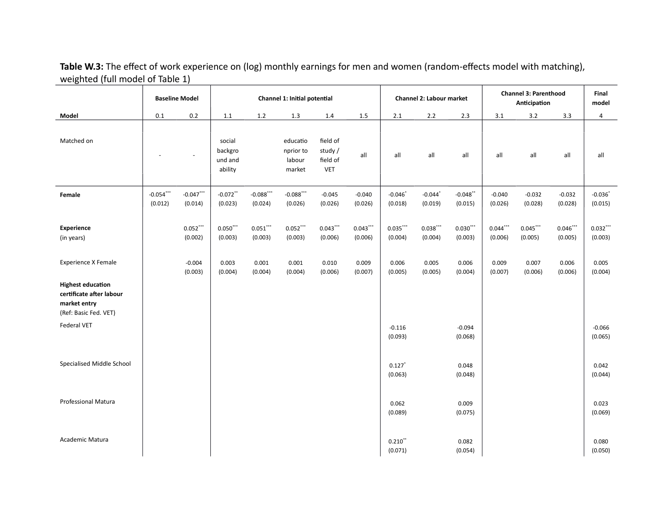**Table W.3:** The effect of work experience on (log) monthly earnings for men and women (random-effects model with matching), weighted (full model of Table 1)

|                                                                                               |                        | <b>Baseline Model</b>   |                                         |                        | Channel 1: Initial potential              |                                        |                       |                                  | Channel 2: Labour market         |                        | <b>Channel 3: Parenthood</b> | Final<br>model      |                        |                        |
|-----------------------------------------------------------------------------------------------|------------------------|-------------------------|-----------------------------------------|------------------------|-------------------------------------------|----------------------------------------|-----------------------|----------------------------------|----------------------------------|------------------------|------------------------------|---------------------|------------------------|------------------------|
| Model                                                                                         | $0.1\,$                | 0.2                     | $1.1\,$                                 | $1.2\,$                | $1.3\,$                                   | $1.4\,$                                | $1.5\,$               | 2.1                              | $2.2\,$                          | 2.3                    | 3.1                          | $3.2\,$             | 3.3                    | $\overline{a}$         |
| Matched on                                                                                    |                        |                         | social<br>backgro<br>und and<br>ability |                        | educatio<br>nprior to<br>labour<br>market | field of<br>study /<br>field of<br>VET | all                   | all                              | all                              | all                    | all                          | all                 | all                    | all                    |
| Female                                                                                        | $-0.054***$<br>(0.012) | $-0.047$ ***<br>(0.014) | $-0.072$ **<br>(0.023)                  | $-0.088$<br>(0.024)    | $-0.088$<br>(0.026)                       | $-0.045$<br>(0.026)                    | $-0.040$<br>(0.026)   | $-0.046$ <sup>*</sup><br>(0.018) | $-0.044$ <sup>*</sup><br>(0.019) | $-0.048$ **<br>(0.015) | $-0.040$<br>(0.026)          | $-0.032$<br>(0.028) | $-0.032$<br>(0.028)    | $-0.036$<br>(0.015)    |
| <b>Experience</b><br>(in years)                                                               |                        | 0.052<br>(0.002)        | $0.050$ ***<br>(0.003)                  | $0.051$ ***<br>(0.003) | $0.052$ ***<br>(0.003)                    | $0.043$ ***<br>(0.006)                 | $0.043***$<br>(0.006) | 0.035<br>(0.004)                 | 0.038<br>(0.004)                 | 0.030<br>(0.003)       | $0.044$ ***<br>(0.006)       | 0.045<br>(0.005)    | $0.046$ ***<br>(0.005) | $0.032$ ***<br>(0.003) |
| <b>Experience X Female</b>                                                                    |                        | $-0.004$<br>(0.003)     | 0.003<br>(0.004)                        | 0.001<br>(0.004)       | 0.001<br>(0.004)                          | 0.010<br>(0.006)                       | 0.009<br>(0.007)      | 0.006<br>(0.005)                 | 0.005<br>(0.005)                 | 0.006<br>(0.004)       | 0.009<br>(0.007)             | 0.007<br>(0.006)    | 0.006<br>(0.006)       | 0.005<br>(0.004)       |
| <b>Highest education</b><br>certificate after labour<br>market entry<br>(Ref: Basic Fed. VET) |                        |                         |                                         |                        |                                           |                                        |                       |                                  |                                  |                        |                              |                     |                        |                        |
| Federal VET                                                                                   |                        |                         |                                         |                        |                                           |                                        |                       | $-0.116$<br>(0.093)              |                                  | $-0.094$<br>(0.068)    |                              |                     |                        | $-0.066$<br>(0.065)    |
| Specialised Middle School                                                                     |                        |                         |                                         |                        |                                           |                                        |                       | $0.127$ <sup>*</sup><br>(0.063)  |                                  | 0.048<br>(0.048)       |                              |                     |                        | 0.042<br>(0.044)       |
| <b>Professional Matura</b>                                                                    |                        |                         |                                         |                        |                                           |                                        |                       | 0.062<br>(0.089)                 |                                  | 0.009<br>(0.075)       |                              |                     |                        | 0.023<br>(0.069)       |
| Academic Matura                                                                               |                        |                         |                                         |                        |                                           |                                        |                       | $0.210$ **<br>(0.071)            |                                  | 0.082<br>(0.054)       |                              |                     |                        | 0.080<br>(0.050)       |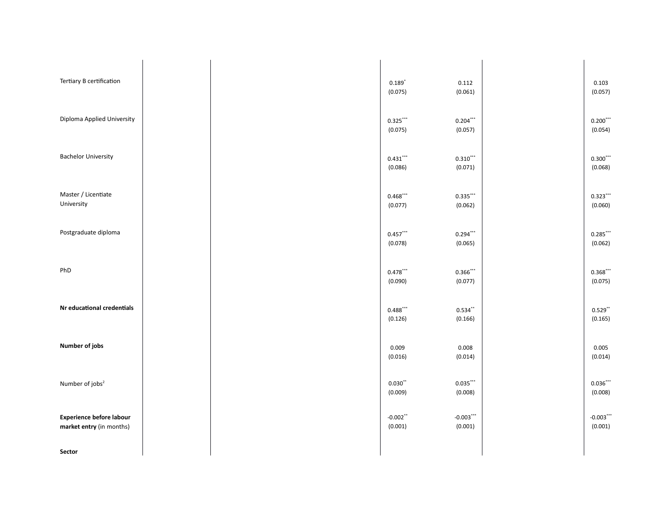| Tertiary B certification                             |  | $0.189*$<br>(0.075)    | 0.112<br>(0.061)       | 0.103<br>(0.057)        |
|------------------------------------------------------|--|------------------------|------------------------|-------------------------|
| Diploma Applied University                           |  | $0.325***$<br>(0.075)  | $0.204$ ***<br>(0.057) | $0.200$ ***<br>(0.054)  |
| <b>Bachelor University</b>                           |  | 0.431<br>(0.086)       | $0.310$ ***<br>(0.071) | $0.300$ ***<br>(0.068)  |
| Master / Licentiate<br>University                    |  | 0.468<br>(0.077)       | 0.335<br>(0.062)       | 0.323<br>(0.060)        |
| Postgraduate diploma                                 |  | 0.457<br>(0.078)       | $0.294$ ***<br>(0.065) | 0.285<br>(0.062)        |
| PhD                                                  |  | 0.478<br>(0.090)       | 0.366<br>(0.077)       | 0.368<br>(0.075)        |
| Nr educational credentials                           |  | 0.488<br>(0.126)       | $0.534$ **<br>(0.166)  | $0.529$ **<br>(0.165)   |
| Number of jobs                                       |  | 0.009<br>(0.016)       | 0.008<br>(0.014)       | 0.005<br>(0.014)        |
| Number of jobs <sup>2</sup>                          |  | 0.030"<br>(0.009)      | 0.035<br>(0.008)       | 0.036<br>(0.008)        |
| Experience before labour<br>market entry (in months) |  | $-0.002$ **<br>(0.001) | $-0.003$<br>(0.001)    | $-0.003$ ***<br>(0.001) |
| Sector                                               |  |                        |                        |                         |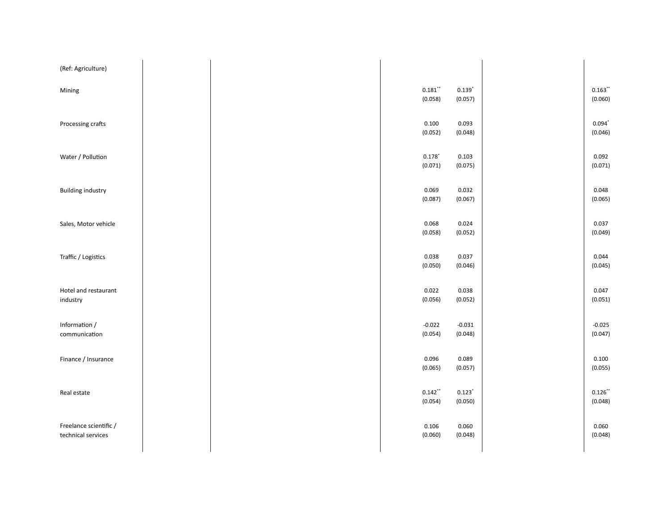| (Ref: Agriculture)                           |  |                                 |                                 |                                         |
|----------------------------------------------|--|---------------------------------|---------------------------------|-----------------------------------------|
| Mining                                       |  | $0.181$ "<br>(0.058)            | $0.139^{*}$<br>(0.057)          | $0.163\overset{\ast\ast}{ }$<br>(0.060) |
| Processing crafts                            |  | 0.100<br>(0.052)                | 0.093<br>(0.048)                | $0.094$ <sup>*</sup><br>(0.046)         |
| Water / Pollution                            |  | $0.178$ <sup>*</sup><br>(0.071) | 0.103<br>(0.075)                | 0.092<br>(0.071)                        |
| <b>Building industry</b>                     |  | 0.069<br>(0.087)                | 0.032<br>(0.067)                | 0.048<br>(0.065)                        |
| Sales, Motor vehicle                         |  | 0.068<br>(0.058)                | 0.024<br>(0.052)                | 0.037<br>(0.049)                        |
| Traffic / Logistics                          |  | 0.038<br>(0.050)                | 0.037<br>(0.046)                | 0.044<br>(0.045)                        |
| Hotel and restaurant<br>industry             |  | 0.022<br>(0.056)                | 0.038<br>(0.052)                | 0.047<br>(0.051)                        |
| Information /<br>communication               |  | $-0.022$<br>(0.054)             | $-0.031$<br>(0.048)             | $-0.025$<br>(0.047)                     |
| Finance / Insurance                          |  | 0.096<br>(0.065)                | 0.089<br>(0.057)                | 0.100<br>(0.055)                        |
| Real estate                                  |  | $0.142$ **<br>(0.054)           | $0.123$ <sup>*</sup><br>(0.050) | $0.126$ **<br>(0.048)                   |
| Freelance scientific /<br>technical services |  | 0.106<br>(0.060)                | 0.060<br>(0.048)                | 0.060<br>(0.048)                        |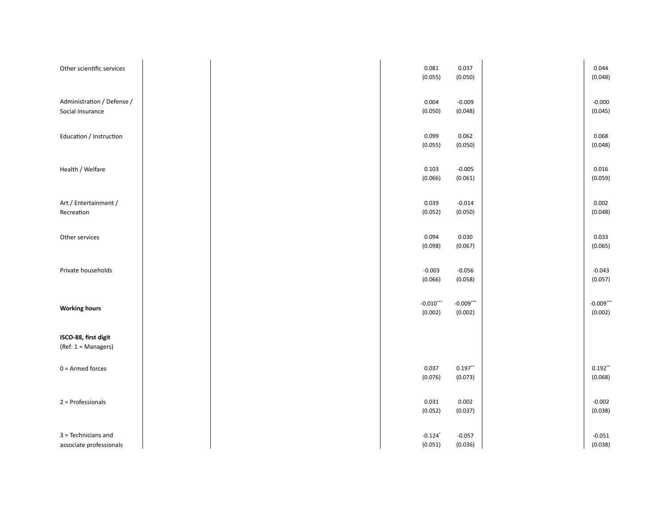| Other scientific services                      |  |  |  | 0.081<br>(0.055)                 | 0.037<br>(0.050)        | 0.044<br>(0.048)        |
|------------------------------------------------|--|--|--|----------------------------------|-------------------------|-------------------------|
| Administration / Defense /<br>Social Insurance |  |  |  | 0.004<br>(0.050)                 | $-0.009$<br>(0.048)     | $-0.000$<br>(0.045)     |
| Education / Instruction                        |  |  |  | 0.099<br>(0.055)                 | 0.062<br>(0.050)        | 0.068<br>(0.048)        |
| Health / Welfare                               |  |  |  | 0.103<br>(0.066)                 | $-0.005$<br>(0.061)     | 0.016<br>(0.059)        |
| Art / Entertainment /<br>Recreation            |  |  |  | 0.039<br>(0.052)                 | $-0.014$<br>(0.050)     | 0.002<br>(0.048)        |
| Other services                                 |  |  |  | 0.094<br>(0.098)                 | 0.030<br>(0.067)        | 0.033<br>(0.065)        |
| Private households                             |  |  |  | $-0.003$<br>(0.066)              | $-0.056$<br>(0.058)     | $-0.043$<br>(0.057)     |
| <b>Working hours</b>                           |  |  |  | $-0.010$ ***<br>(0.002)          | $-0.009$ ***<br>(0.002) | $-0.009$ ***<br>(0.002) |
| ISCO-88, first digit<br>(Ref: 1 = Managers)    |  |  |  |                                  |                         |                         |
| $0 =$ Armed forces                             |  |  |  | 0.037<br>(0.076)                 | $0.197$ **<br>(0.073)   | $0.192$ **<br>(0.068)   |
| 2 = Professionals                              |  |  |  | 0.031<br>(0.052)                 | 0.002<br>(0.037)        | $-0.002$<br>(0.038)     |
| 3 = Technicians and<br>associate professionals |  |  |  | $-0.124$ <sup>*</sup><br>(0.051) | $-0.057$<br>(0.036)     | $-0.051$<br>(0.038)     |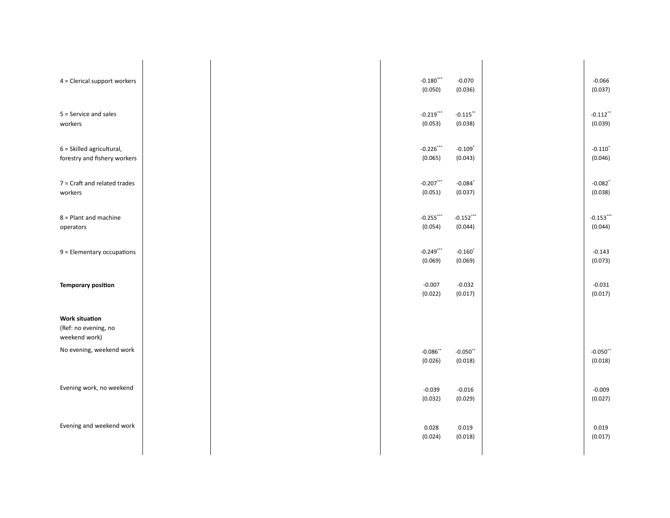| 4 = Clerical support workers                                   |  | $-0.180$ ***<br>(0.050) | $-0.070$<br>(0.036)              | $-0.066$<br>(0.037)              |
|----------------------------------------------------------------|--|-------------------------|----------------------------------|----------------------------------|
| $5 =$ Service and sales<br>workers                             |  | $-0.219$ ***<br>(0.053) | $-0.115$ **<br>(0.038)           | $-0.112$ *<br>(0.039)            |
| 6 = Skilled agricultural,<br>forestry and fishery workers      |  | $-0.226$<br>(0.065)     | $-0.109$ <sup>*</sup><br>(0.043) | $-0.110$ <sup>*</sup><br>(0.046) |
| $7$ = Craft and related trades<br>workers                      |  | $-0.207$<br>(0.051)     | $-0.084$ <sup>*</sup><br>(0.037) | $-0.082$ <sup>*</sup><br>(0.038) |
| $8 =$ Plant and machine<br>operators                           |  | $-0.255$ ***<br>(0.054) | $-0.152$ ***<br>(0.044)          | $-0.153$ ***<br>(0.044)          |
| 9 = Elementary occupations                                     |  | $-0.249$<br>(0.069)     | $-0.160$ <sup>*</sup><br>(0.069) | $-0.143$<br>(0.073)              |
| <b>Temporary position</b>                                      |  | $-0.007$<br>(0.022)     | $-0.032$<br>(0.017)              | $-0.031$<br>(0.017)              |
| <b>Work situation</b><br>(Ref: no evening, no<br>weekend work) |  |                         |                                  |                                  |
| No evening, weekend work                                       |  | $-0.086$ **<br>(0.026)  | $-0.050$ **<br>(0.018)           | $-0.050$ **<br>(0.018)           |
| Evening work, no weekend                                       |  | $-0.039$<br>(0.032)     | $-0.016$<br>(0.029)              | $-0.009$<br>(0.027)              |
| Evening and weekend work                                       |  | 0.028<br>(0.024)        | 0.019<br>(0.018)                 | 0.019<br>(0.017)                 |
|                                                                |  |                         |                                  |                                  |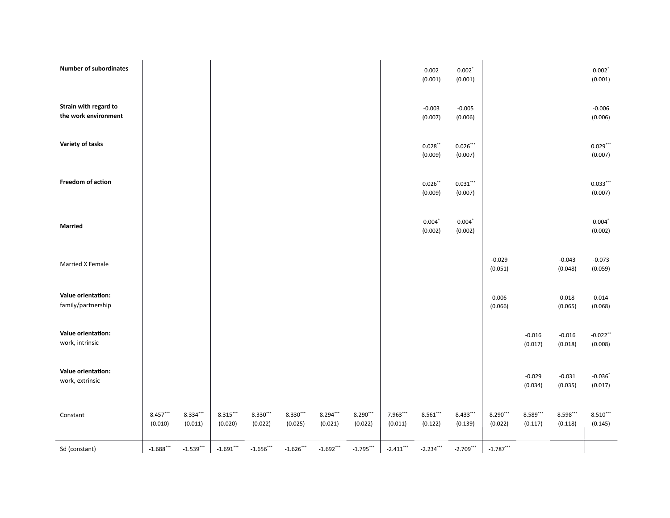| <b>Number of subordinates</b>                 |                     |                                  |                  |                     |                     |                        |                  |                  | 0.002<br>(0.001)                | $0.002$ <sup>*</sup><br>(0.001) |                     |                     |                     | $0.002^*$<br>(0.001)             |
|-----------------------------------------------|---------------------|----------------------------------|------------------|---------------------|---------------------|------------------------|------------------|------------------|---------------------------------|---------------------------------|---------------------|---------------------|---------------------|----------------------------------|
| Strain with regard to<br>the work environment |                     |                                  |                  |                     |                     |                        |                  |                  | $-0.003$<br>(0.007)             | $-0.005$<br>(0.006)             |                     |                     |                     | $-0.006$<br>(0.006)              |
| Variety of tasks                              |                     |                                  |                  |                     |                     |                        |                  |                  | $0.028$ **<br>(0.009)           | $0.026***$<br>(0.007)           |                     |                     |                     | $0.029$ ***<br>(0.007)           |
| Freedom of action                             |                     |                                  |                  |                     |                     |                        |                  |                  | $0.026$ **<br>(0.009)           | 0.031<br>(0.007)                |                     |                     |                     | 0.033<br>(0.007)                 |
| <b>Married</b>                                |                     |                                  |                  |                     |                     |                        |                  |                  | $0.004$ <sup>*</sup><br>(0.002) | $0.004$ <sup>*</sup><br>(0.002) |                     |                     |                     | $0.004$ <sup>*</sup><br>(0.002)  |
| Married X Female                              |                     |                                  |                  |                     |                     |                        |                  |                  |                                 |                                 | $-0.029$<br>(0.051) |                     | $-0.043$<br>(0.048) | $-0.073$<br>(0.059)              |
| Value orientation:<br>family/partnership      |                     |                                  |                  |                     |                     |                        |                  |                  |                                 |                                 | 0.006<br>(0.066)    |                     | 0.018<br>(0.065)    | 0.014<br>(0.068)                 |
| Value orientation:<br>work, intrinsic         |                     |                                  |                  |                     |                     |                        |                  |                  |                                 |                                 |                     | $-0.016$<br>(0.017) | $-0.016$<br>(0.018) | $-0.022$ **<br>(0.008)           |
| Value orientation:<br>work, extrinsic         |                     |                                  |                  |                     |                     |                        |                  |                  |                                 |                                 |                     | $-0.029$<br>(0.034) | $-0.031$<br>(0.035) | $-0.036$ <sup>*</sup><br>(0.017) |
| Constant                                      | 8.457***<br>(0.010) | 8.334***<br>(0.011)              | 8.315<br>(0.020) | 8.330'''<br>(0.022) | 8.330***<br>(0.025) | $8.294$ ***<br>(0.021) | 8.290<br>(0.022) | 7.963<br>(0.011) | 8.561<br>(0.122)                | 8.433<br>(0.139)                | 8.290<br>(0.022)    | 8.589***<br>(0.117) | 8.598<br>(0.118)    | $8.510$ ***<br>(0.145)           |
| Sd (constant)                                 | $-1.688$            | $\textbf{-1.539}^{\textbf{***}}$ | $-1.691$ ***     | $-1.656$ ***        | $-1.626$            | $-1.692$ ***           | $-1.795$         | $-2.411$ ***     | $-2.234$                        | $-2.709$ ***                    | $-1.787$            |                     |                     |                                  |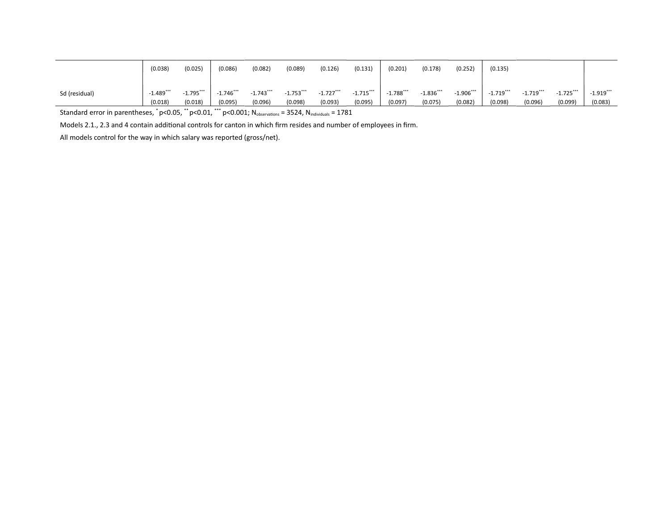|               | (0.038)                      | (0.025)                      | (0.086)                      | (0.082)                 | (0.089)                 | (0.126)                      | (0.131)                      | (0.201)                 | (0.178)                      | (0.252)                      | (0.135)                      |                              |                              |                              |
|---------------|------------------------------|------------------------------|------------------------------|-------------------------|-------------------------|------------------------------|------------------------------|-------------------------|------------------------------|------------------------------|------------------------------|------------------------------|------------------------------|------------------------------|
| Sd (residual) | $-1.489$ $\cdots$<br>(0.018) | $-1.795$ $\cdots$<br>(0.018) | $-1.746$ $\cdots$<br>(0.095) | $-1.743$ ***<br>(0.096) | $-1.753$ ***<br>(0.098) | $-1.727$ $\cdots$<br>(0.093) | $-1.715$ $\cdots$<br>(0.095) | 1.788<br>. .<br>(0.097) | $-1.836$ $\cdots$<br>(0.075) | $-1.906$ $\cdots$<br>(0.082) | $-1.719$ $\cdots$<br>(0.098) | $-1.719$ $\cdots$<br>(0.096) | $-1.725$ $\cdots$<br>(0.099) | $-1.919$ $\cdots$<br>(0.083) |

Standard error in parentheses,  $\degree$  p<0.05,  $\degree$  p<0.01,  $\degree$  p<0.001; N<sub>observations</sub> = 3524, N<sub>individuals</sub> = 1781

Models 2.1., 2.3 and 4 contain additional controls for canton in which firm resides and number of employees in firm.

All models control for the way in which salary was reported (gross/net).